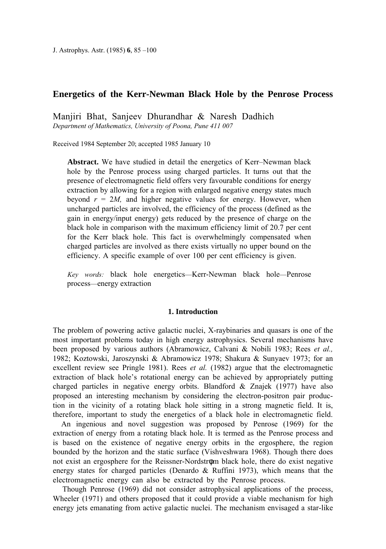J. Astrophys. Astr. (1985) **6**, 85 –100

# **Energetics of the Kerr-Newman Black Hole by the Penrose Process**

Manjiri Bhat, Sanjeev Dhurandhar & Naresh Dadhich

*Department of Mathematics, University of Poona, Pune 411 007*

Received 1984 September 20; accepted 1985 January 10

**Abstract.** We have studied in detail the energetics of Kerr–Newman black hole by the Penrose process using charged particles. It turns out that the presence of electromagnetic field offers very favourable conditions for energy extraction by allowing for a region with enlarged negative energy states much beyond  $r = 2M$ , and higher negative values for energy. However, when uncharged particles are involved, the efficiency of the process (defined as the gain in energy/input energy) gets reduced by the presence of charge on the black hole in comparison with the maximum efficiency limit of 20.7 per cent for the Kerr black hole. This fact is overwhelmingly compensated when charged particles are involved as there exists virtually no upper bound on the efficiency. A specific example of over 100 per cent efficiency is given.

*Key words:* black hole energetics—Kerr-Newman black hole—Penrose process—energy extraction

### **1. Introduction**

The problem of powering active galactic nuclei, X-raybinaries and quasars is one of the most important problems today in high energy astrophysics. Several mechanisms have been proposed by various authors (Abramowicz, Calvani & Nobili 1983; Rees *et al.,* 1982; Koztowski, Jaroszynski & Abramowicz 1978; Shakura & Sunyaev 1973; for an excellent review see Pringle 1981). Rees *et al.* (1982) argue that the electromagnetic extraction of black hole's rotational energy can be achieved by appropriately putting charged particles in negative energy orbits. Blandford  $\&$  Znajek (1977) have also proposed an interesting mechanism by considering the electron-positron pair production in the vicinity of a rotating black hole sitting in a strong magnetic field. It is, therefore, important to study the energetics of a black hole in electromagnetic field.

An ingenious and novel suggestion was proposed by Penrose (1969) for the extraction of energy from a rotating black hole. It is termed as the Penrose process and is based on the existence of negative energy orbits in the ergosphere, the region bounded by the horizon and the static surface (Vishveshwara 1968). Though there does not exist an ergosphere for the Reissner-Nordstrφm black hole, there do exist negative energy states for charged particles (Denardo & Ruffini 1973), which means that the electromagnetic energy can also be extracted by the Penrose process.

Though Penrose (1969) did not consider astrophysical applications of the process, Wheeler (1971) and others proposed that it could provide a viable mechanism for high energy jets emanating from active galactic nuclei. The mechanism envisaged a star-like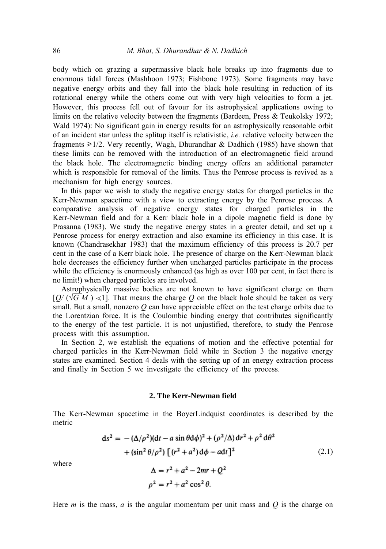body which on grazing a supermassive black hole breaks up into fragments due to enormous tidal forces (Mashhoon 1973; Fishbone 1973). Some fragments may have negative energy orbits and they fall into the black hole resulting in reduction of its rotational energy while the others come out with very high velocities to form a jet. However, this process fell out of favour for its astrophysical applications owing to limits on the relative velocity between the fragments (Bardeen, Press & Teukolsky 1972; Wald 1974): No significant gain in energy results for an astrophysically reasonable orbit of an incident star unless the splitup itself is relativistic, *i.e.* relative velocity between the fragments  $\geq 1/2$ . Very recently, Wagh, Dhurandhar & Dadhich (1985) have shown that these limits can be removed with the introduction of an electromagnetic field around the black hole. The electromagnetic binding energy offers an additional parameter which is responsible for removal of the limits. Thus the Penrose process is revived as a mechanism for high energy sources.

In this paper we wish to study the negative energy states for charged particles in the Kerr-Newman spacetime with a view to extracting energy by the Penrose process. A comparative analysis of negative energy states for charged particles in the Kerr-Newman field and for a Kerr black hole in a dipole magnetic field is done by Prasanna (1983). We study the negative energy states in a greater detail, and set up a Penrose process for energy extraction and also examine its efficiency in this case. It is known (Chandrasekhar 1983) that the maximum efficiency of this process is 20.7 per cent in the case of a Kerr black hole. The presence of charge on the Kerr-Newman black hole decreases the efficiency further when uncharged particles participate in the process while the efficiency is enormously enhanced (as high as over 100 per cent, in fact there is no limit!) when charged particles are involved.

Astrophysically massive bodies are not known to have significant charge on them  $[Q/(\sqrt{G} M) \ll 1]$ . That means the charge Q on the black hole should be taken as very small. But a small, nonzero *Q* can have appreciable effect on the test charge orbits due to the Lorentzian force. It is the Coulombic binding energy that contributes significantly to the energy of the test particle. It is not unjustified, therefore, to study the Penrose process with this assumption.

In Section 2, we establish the equations of motion and the effective potential for charged particles in the Kerr-Newman field while in Section 3 the negative energy states are examined. Section 4 deals with the setting up of an energy extraction process and finally in Section 5 we investigate the efficiency of the process.

#### **2. The Kerr-Newman field**

The Kerr-Newman spacetime in the BoyerLindquist coordinates is described by the metric

$$
ds2 = -(\Delta/\rho2)(dt - a \sin \theta d\phi)2 + (\rho2/\Delta) dr2 + \rho2 d\theta2
$$
  
+ (\sin<sup>2</sup> \theta/\rho<sup>2</sup>) [(r<sup>2</sup> + a<sup>2</sup>) d\phi - adt]<sup>2</sup>  

$$
\Delta = r2 + a2 - 2mr + Q2
$$
  

$$
\rho2 = r2 + a2 \cos2 \theta.
$$
 (2.1)

where

Here *m* is the mass, *a* is the angular momentum per unit mass and *Q* is the charge on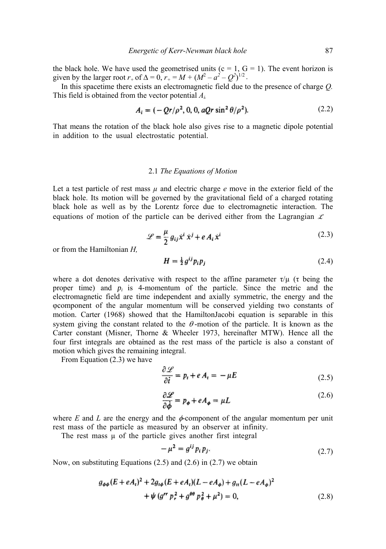the black hole. We have used the geometrised units ( $c = 1$ ,  $G = 1$ ). The event horizon is given by the larger root  $r_+$  of  $\Delta = 0$ ,  $r_+ = M + (M^2 - a^2 - Q^2)^{1/2}$ .

In this spacetime there exists an electromagnetic field due to the presence of charge *Q.* This field is obtained from the vector potential *Ai,*

$$
A_i = (-Qr/\rho^2, 0, 0, aQr \sin^2 \theta/\rho^2).
$$
 (2.2)

That means the rotation of the black hole also gives rise to a magnetic dipole potential in addition to the usual electrostatic potential.

### 2.1 *The Equations of Motion*

Let a test particle of rest mass  $\mu$  and electric charge  $e$  move in the exterior field of the black hole. Its motion will be governed by the gravitational field of a charged rotating black hole as well as by the Lorentz force due to electromagnetic interaction. The equations of motion of the particle can be derived either from the Lagrangian  $\mathcal X$ 

$$
\mathcal{L} = \frac{\mu}{2} g_{ij} \dot{x}^i \dot{x}^j + e A_i \dot{x}^i
$$
 (2.3)

or from the Hamiltonian *H,*

$$
H = \frac{1}{2}g^{ij}p_i p_j \tag{2.4}
$$

where a dot denotes derivative with respect to the affine parameter  $\tau/\mu$  ( $\tau$  being the proper time) and  $p_i$  is 4-momentum of the particle. Since the metric and the electromagnetic field are time independent and axially symmetric, the energy and the φcomponent of the angular momentum will be conserved yielding two constants of motion. Carter (1968) showed that the HamiltonJacobi equation is separable in this system giving the constant related to the  $\theta$ -motion of the particle. It is known as the Carter constant (Misner, Thorne & Wheeler 1973, hereinafter MTW). Hence all the four first integrals are obtained as the rest mass of the particle is also a constant of motion which gives the remaining integral.

From Equation (2.3) we have

$$
\frac{\partial \mathcal{L}}{\partial \dot{t}} = p_t + e A_t = -\mu E \tag{2.5}
$$

$$
\frac{\partial \mathcal{L}}{\partial \dot{\phi}} = p_{\phi} + eA_{\phi} = \mu L \tag{2.6}
$$

where  $E$  and  $L$  are the energy and the  $\phi$ -component of the angular momentum per unit rest mass of the particle as measured by an observer at infinity.

The rest mass u of the particle gives another first integral

$$
-\mu^2 = g^{ij} p_i p_j. \tag{2.7}
$$

Now, on substituting Equations (2.5) and (2.6) in (2.7) we obtain

$$
g_{\phi\phi}(E + eA_t)^2 + 2g_{t\phi}(E + eA_t)(L - eA_\phi) + g_{tt}(L - eA_\phi)^2
$$
  
+  $\psi$  (g<sup>rr</sup> p<sub>r</sub><sup>2</sup> + g<sup>00</sup> p<sub>\theta</sub><sup>2</sup> + \mu<sup>2</sup>) = 0, (2.8)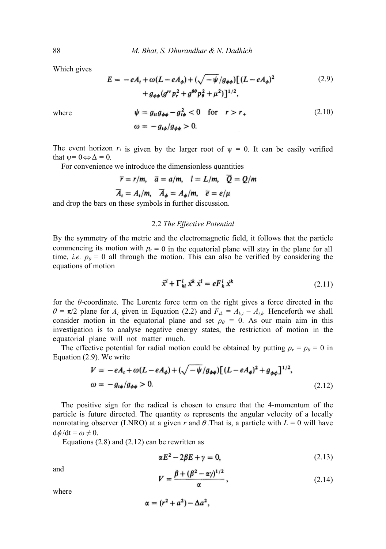Which gives

$$
E = -eA_t + \omega(L - eA_{\phi}) + (\sqrt{-\psi/g_{\phi\phi}})[(L - eA_{\phi})^2 + g_{\phi\phi}(g^{rr}p_r^2 + g^{\theta\theta}p_{\theta}^2 + \mu^2)]^{1/2},
$$
\n(2.9)

where

$$
\psi = g_{tt}g_{\phi\phi} - g_{t\phi}^2 < 0 \quad \text{for} \quad r > r_+ \tag{2.10}
$$
\n
$$
\omega = -g_{t\phi}/g_{\phi\phi} > 0.
$$

The event horizon  $r_+$  is given by the larger root of  $\psi = 0$ . It can be easily verified that  $\psi = 0 \Leftrightarrow \Delta = 0$ .

For convenience we introduce the dimensionless quantities

$$
\bar{r} = r/m, \quad \bar{a} = a/m, \quad l = L/m, \quad \bar{Q} = \bar{Q}/m
$$
  
\n $\bar{A}_t = A_t/m, \quad \bar{A}_\phi = A_\phi/m, \quad \bar{e} = e/\mu$ 

and drop the bars on these symbols in further discussion.

## 2.2 *The Effective Potential*

By the symmetry of the metric and the electromagnetic field, it follows that the particle commencing its motion with  $p_{\theta} = 0$  in the equatorial plane will stay in the plane for all time, *i.e.*  $p_\theta = 0$  all through the motion. This can also be verified by considering the equations of motion

$$
\ddot{x}^i + \Gamma_{kl}^i \dot{x}^k \dot{x}^l = eF_k^i \dot{x}^k \tag{2.11}
$$

for the *θ*-coordinate. The Lorentz force term on the right gives a force directed in the  $\theta = \pi/2$  plane for  $A_i$  given in Equation (2.2) and  $F_{ik} = A_{ki} - A_{ik}$ . Henceforth we shall consider motion in the equatorial plane and set  $\rho_{\theta} = 0$ . As our main aim in this investigation is to analyse negative energy states, the restriction of motion in the equatorial plane will not matter much.

The effective potential for radial motion could be obtained by putting  $p_r = p_\theta = 0$  in Equation (2.9). We write

$$
V = -eA_t + \omega(L - eA_{\phi}) + (\sqrt{-\psi/g_{\phi\phi}})[(L - eA_{\phi})^2 + g_{\phi\phi}]^{1/2},
$$
  

$$
\omega = -g_{t\phi}/g_{\phi\phi} > 0.
$$
 (2.12)

The positive sign for the radical is chosen to ensure that the 4-momentum of the particle is future directed. The quantity *ω* represents the angular velocity of a locally nonrotating observer (LNRO) at a given r and  $\theta$ . That is, a particle with  $L = 0$  will have  $d\phi/dt = \omega \neq 0$ .

Equations  $(2.8)$  and  $(2.12)$  can be rewritten as

$$
\alpha E^2 - 2\beta E + \gamma = 0, \tag{2.13}
$$

and

$$
V = \frac{\beta + (\beta^2 - \alpha \gamma)^{1/2}}{\alpha},\qquad(2.14)
$$

where

$$
\alpha = (r^2 + a^2) - \Delta a^2,
$$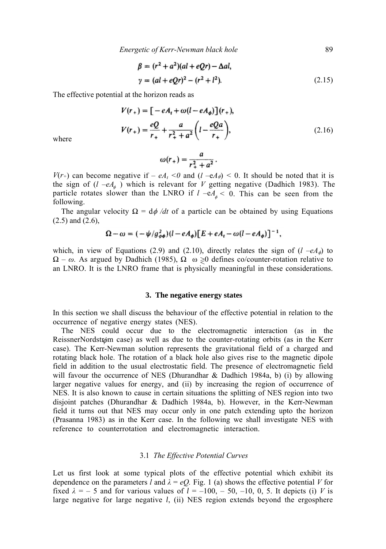*Energetic of Kerr-Newman black hole* 89

$$
\beta = (r^2 + a^2)(al + eQr) - \Delta al,\n\gamma = (al + eQr)^2 - (r^2 + l^2).
$$
\n(2.15)

The effective potential at the horizon reads as

$$
V(r_{+}) = \left[ -eA_{t} + \omega(l - eA_{\phi}) \right](r_{+}),
$$
  
\n
$$
V(r_{+}) = \frac{eQ}{r_{+}} + \frac{a}{r_{+}^{2} + a^{2}} \left( l - \frac{eQa}{r_{+}} \right),
$$
\n(2.16)

where

$$
\omega(r_+) = \frac{a}{r_+^2 + a^2}.
$$

*V*( $r$ <sup>+</sup>) can become negative if  $- eA_t < 0$  and (*l*  $-eA_{\phi}$ )  $< 0$ . It should be noted that it is the sign of  $(l - eA_{\phi})$  which is relevant for *V* getting negative (Dadhich 1983). The particle rotates slower than the LNRO if  $l - eA_{\phi} < 0$ . This can be seen from the following.

The angular velocity  $\Omega = d\phi/dt$  of a particle can be obtained by using Equations (2.5) and (2.6),

$$
\Omega - \omega = (-\psi/g_{\phi\phi}^2)(l - eA_{\phi})[E + eA_t - \omega(l - eA_{\phi})]^{-1},
$$

which, in view of Equations (2.9) and (2.10), directly relates the sign of  $(l - eA_{\phi})$  to  $\Omega - \omega$ . As argued by Dadhich (1985),  $\Omega \approx 0$  defines co/counter-rotation relative to an LNRO. It is the LNRO frame that is physically meaningful in these considerations.

## **3. The negative energy states**

In this section we shall discuss the behaviour of the effective potential in relation to the occurrence of negative energy states (NES).

The NES could occur due to the electromagnetic interaction (as in the ReissnerNordstrøm case) as well as due to the counter-rotating orbits (as in the Kerr case). The Kerr-Newman solution represents the gravitational field of a charged and rotating black hole. The rotation of a black hole also gives rise to the magnetic dipole field in addition to the usual electrostatic field. The presence of electromagnetic field will favour the occurrence of NES (Dhurandhar & Dadhich 1984a, b) (i) by allowing larger negative values for energy, and (ii) by increasing the region of occurrence of NES. It is also known to cause in certain situations the splitting of NES region into two disjoint patches (Dhurandhar & Dadhich 1984a, b). However, in the Kerr-Newman field it turns out that NES may occur only in one patch extending upto the horizon (Prasanna 1983) as in the Kerr case. In the following we shall investigate NES with reference to counterrotation and electromagnetic interaction.

### 3.1 *The Effective Potential Curves*

Let us first look at some typical plots of the effective potential which exhibit its dependence on the parameters *l* and  $\lambda = eQ$ . Fig. 1 (a) shows the effective potential *V* for fixed  $\lambda = -5$  and for various values of  $l = -100, -50, -10, 0, 5$ . It depicts (i) *V* is large negative for large negative *l*, (ii) NES region extends beyond the ergosphere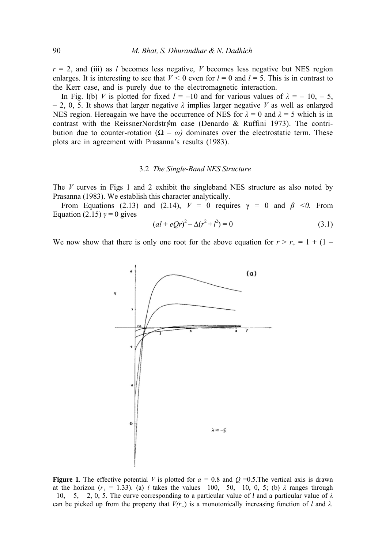$r = 2$ , and (iii) as *l* becomes less negative, *V* becomes less negative but NES region enlarges. It is interesting to see that  $V < 0$  even for  $l = 0$  and  $l = 5$ . This is in contrast to the Kerr case, and is purely due to the electromagnetic interaction.

In Fig. l(b) *V* is plotted for fixed  $l = -10$  and for various values of  $\lambda = -10, -5$ ,  $-2$ , 0, 5. It shows that larger negative  $\lambda$  implies larger negative *V* as well as enlarged NES region. Hereagain we have the occurrence of NES for  $\lambda = 0$  and  $\lambda = 5$  which is in contrast with the ReissnerNordstr $\phi$ m case (Denardo & Ruffini 1973). The contribution due to counter-rotation  $(\Omega - \omega)$  dominates over the electrostatic term. These plots are in agreement with Prasanna's results (1983).

### 3.2 *The Single-Band NES Structure*

The *V* curves in Figs 1 and 2 exhibit the singleband NES structure as also noted by Prasanna (1983). We establish this character analytically.

From Equations (2.13) and (2.14),  $V = 0$  requires  $\gamma = 0$  and  $\beta \le 0$ . From Equation (2.15)  $\gamma = 0$  gives

$$
(al + eQr)^{2} - \Delta(r^{2} + l^{2}) = 0
$$
\n(3.1)

We now show that there is only one root for the above equation for  $r > r_+ = 1 + (1 -$ 



**Figure 1**. The effective potential *V* is plotted for  $a = 0.8$  and  $Q = 0.5$ . The vertical axis is drawn at the horizon  $(r_{+} = 1.33)$ . (a) *l* takes the values –100, –50, –10, 0, 5; (b)  $\lambda$  ranges through  $-10$ ,  $-5$ ,  $-2$ , 0, 5. The curve corresponding to a particular value of *l* and a particular value of  $\lambda$ can be picked up from the property that  $V(r_{+})$  is a monotonically increasing function of *l* and  $\lambda$ *.*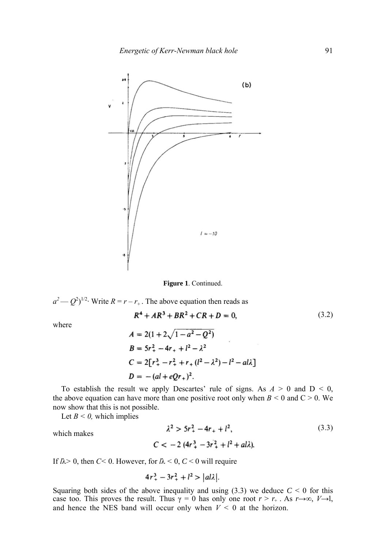

**Figure 1**. Continued.

$$
a^2 - Q^2
$$
<sup>1/2</sup>. Write  $R = r - r_+$ . The above equation then reads as  

$$
R^4 + AR^3 + BR^2 + CR + D = 0,
$$

where

$$
A = 2(1 + 2\sqrt{1 - a^2 - Q^2})
$$
  
\n
$$
B = 5r_+^2 - 4r_+ + l^2 - \lambda^2
$$
  
\n
$$
C = 2[r_+^3 - r_+^2 + r_+ (l^2 - \lambda^2) - l^2 - al\lambda]
$$
  
\n
$$
D = -(al + eQr_+)^2.
$$

To establish the result we apply Descartes' rule of signs. As  $A > 0$  and  $D < 0$ , the above equation can have more than one positive root only when  $B \le 0$  and  $C \ge 0$ . We now show that this is not possible.

Let  $B \le 0$ , which implies

which makes 
$$
\lambda^2 > 5r_+^2 - 4r_+ + l^2,
$$
 (3.3)

If  $l\lambda$  > 0, then *C*< 0. However, for  $l\lambda$  < 0, *C* < 0 will require

$$
4r_+^3 - 3r_+^2 + l^2 > |al\lambda|
$$
.

Squaring both sides of the above inequality and using  $(3.3)$  we deduce  $C < 0$  for this case too. This proves the result. Thus  $\gamma = 0$  has only one root  $r > r_+$ . As  $r \rightarrow \infty$ ,  $V \rightarrow 1$ , and hence the NES band will occur only when  $V < 0$  at the horizon.

(3.2)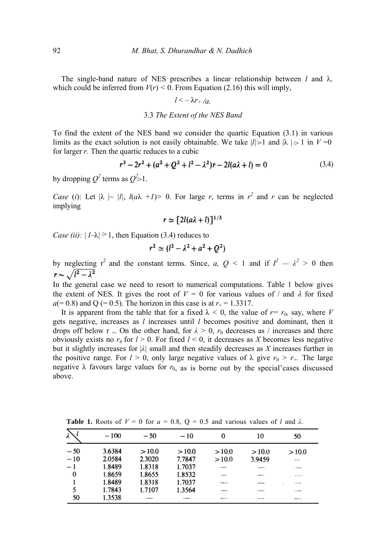The single-band nature of NES prescribes a linear relationship between *l* and λ*,* which could be inferred from  $V(r) < 0$ . From Equation (2.16) this will imply,

$$
l<-\lambda r_{+}/a.
$$

### 3.3 *The Extent of the NES Band*

To find the extent of the NES band we consider the quartic Equation (3.1) in various limits as the exact solution is not easily obtainable. We take  $|l| \ge 1$  and  $|\lambda| \ge 1$  in  $V = 0$ for larger *r.* Then the quartic reduces to a cubic

$$
r^3 - 2r^2 + (a^2 + Q^2 + l^2 - \lambda^2)r - 2l(a\lambda + l) = 0
$$
 (3.4)

by dropping  $Q^2$  terms as  $Q \ge 1$ .

*Case* (*i*): Let  $|\lambda| \sim |l|$ ,  $l(a\lambda +1) > 0$ . For large *r*, terms in  $r^2$  and *r* can be neglected implying

$$
r \simeq [2l(a\lambda + l)]^{1/3}
$$

*Case (ii)*:  $| l-\lambda | \ge 1$ , then Equation (3.4) reduces to

$$
r^2 \simeq (l^2 - \lambda^2 + a^2 + Q^2)
$$

by neglecting  $r^2$  and the constant terms. Since, *a*, *Q* < 1 and if  $I^2 - \lambda^2 > 0$  then  $r \sim \sqrt{l^2 - \lambda^2}$ 

In the general case we need to resort to numerical computations. Table 1 below gives the extent of NES. It gives the root of  $V = 0$  for various values of / and  $\lambda$  for fixed  $a(= 0.8)$  and Q (= 0.5). The horizon in this case is at  $r_{+} = 1.3317$ .

It is apparent from the table that for a fixed  $\lambda < 0$ , the value of  $r = r_0$ , say, where V gets negative, increases as *l* increases until *l* becomes positive and dominant, then it drops off below r <sub>+</sub>. On the other hand, for  $\lambda > 0$ ,  $r_0$  decreases as / increases and there obviously exists no  $r_0$  for  $l > 0$ . For fixed  $l < 0$ , it decreases as *X* becomes less negative but it slightly increases for  $|\lambda|$  small and then steadily decreases as X increases further in the positive range. For  $l > 0$ , only large negative values of  $\lambda$  give  $r_0 > r_+$ . The large negative  $\lambda$  favours large values for  $r_0$ , as is borne out by the special cases discussed above.

| Á.           | $-100$ | $-50$  | $-10$  | 0              | 10                                                                                                                                                                                                                                                                                                                                                              | 50               |
|--------------|--------|--------|--------|----------------|-----------------------------------------------------------------------------------------------------------------------------------------------------------------------------------------------------------------------------------------------------------------------------------------------------------------------------------------------------------------|------------------|
| $-50$        | 3.6384 | >10.0  | >10.0  | >10.0          | >10.0                                                                                                                                                                                                                                                                                                                                                           | >10.0            |
| $-10$        | 2.0584 | 2.3020 | 7.7847 | >10.0          | 3.9459                                                                                                                                                                                                                                                                                                                                                          | $\sim$ and       |
| $-1$         | 1.8489 | 1.8318 | 1.7037 | <b>TOWER</b>   | $\frac{1}{2} \sum_{i=1}^{n} \frac{1}{2} \sum_{i=1}^{n} \frac{1}{2} \sum_{i=1}^{n} \frac{1}{2} \sum_{i=1}^{n} \frac{1}{2} \sum_{i=1}^{n} \frac{1}{2} \sum_{i=1}^{n} \frac{1}{2} \sum_{i=1}^{n} \frac{1}{2} \sum_{i=1}^{n} \frac{1}{2} \sum_{i=1}^{n} \frac{1}{2} \sum_{i=1}^{n} \frac{1}{2} \sum_{i=1}^{n} \frac{1}{2} \sum_{i=1}^{n} \frac{1}{2} \sum_{i=1}^{n$ | 1,500,000        |
| $\mathbf{0}$ | 1.8659 | 1.8655 | 1.8532 | $-$            | <b>B-200 1-4</b>                                                                                                                                                                                                                                                                                                                                                | distances.       |
|              | 1.8489 | 1.8318 | 1.7037 | $-$            | <b>ABANDO</b>                                                                                                                                                                                                                                                                                                                                                   | $ -$             |
| 5            | 1.7843 | 1.7107 | 1.3564 | ---            | <b>CONTRACTOR</b>                                                                                                                                                                                                                                                                                                                                               | <b>COMME</b>     |
| 50           | 1.3538 | --     | $-$    | <b>MARINEZ</b> | <b>MARINE</b>                                                                                                                                                                                                                                                                                                                                                   | <b>MADE LINE</b> |

**Table 1.** Roots of  $V = 0$  for  $a = 0.8$ ,  $Q = 0.5$  and various values of *l* and  $\lambda$ *.*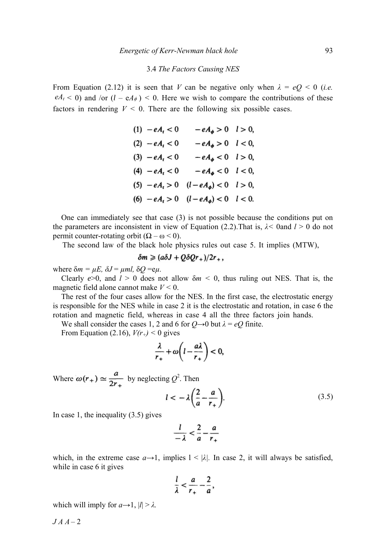## 3.4 *The Factors Causing NES*

From Equation (2.12) it is seen that *V* can be negative only when  $\lambda = eQ < 0$  (*i.e.*  $eA_t < 0$ ) and /or  $(l - eA_\phi) < 0$ . Here we wish to compare the contributions of these factors in rendering  $V < 0$ . There are the following six possible cases.

| $(1) - eA_t < 0$ | $-eA_{\phi} > 0$ $l > 0$ ,                      |  |
|------------------|-------------------------------------------------|--|
| $(2) - eA_t < 0$ | $-eA_{\phi} > 0$ $l < 0$ ,                      |  |
| $(3) - eA_t < 0$ | $-eA_{\phi} < 0$ $l > 0$ ,                      |  |
| $(4) - eA_t < 0$ | $-eA_{\phi} < 0$ $l < 0$ ,                      |  |
|                  | (5) $-eA_t > 0$ $(l - eA_{\phi}) < 0$ $l > 0$ , |  |
|                  | (6) $-eA_t > 0$ $(l - eA_{\phi}) < 0$ $l < 0$ . |  |

One can immediately see that case (3) is not possible because the conditions put on the parameters are inconsistent in view of Equation (2.2). That is,  $\lambda$ < 0 and  $l > 0$  do not permit counter-rotating orbit  $(\Omega - \omega < 0)$ .

The second law of the black hole physics rules out case 5. It implies (MTW),

$$
\delta m \geq (a\delta J + Q\delta Qr_{+})/2r_{+},
$$

where  $\delta m = \mu E$ ,  $\delta J = \mu m l$ ,  $\delta Q = e \mu$ .

Clearly  $e > 0$ , and  $l > 0$  does not allow  $\delta m < 0$ , thus ruling out NES. That is, the magnetic field alone cannot make *V <* 0.

The rest of the four cases allow for the NES. In the first case, the electrostatic energy is responsible for the NES while in case 2 it is the electrostatic and rotation, in case 6 the rotation and magnetic field, whereas in case 4 all the three factors join hands.

We shall consider the cases 1, 2 and 6 for  $Q \rightarrow 0$  but  $\lambda = eQ$  finite.

From Equation (2.16),  $V(r_{+})$  < 0 gives

$$
\frac{\lambda}{r_+} + \omega \bigg( l - \frac{a\lambda}{r_+} \bigg) < 0,
$$

Where  $\omega(r_+) \simeq \frac{u}{2}$  by neglecting  $Q^2$ . Then

$$
l < -\lambda \left(\frac{2}{a} - \frac{a}{r_+}\right). \tag{3.5}
$$

In case 1, the inequality (3.5) gives

$$
\frac{l}{-\lambda} < \frac{2}{a} - \frac{a}{r_+}
$$

which, in the extreme case  $a \rightarrow 1$ , implies  $1 < |\lambda|$ . In case 2, it will always be satisfied, while in case 6 it gives

$$
\frac{l}{\lambda}<\frac{a}{r_+}-\frac{2}{a},
$$

which will imply for  $a \rightarrow 1$ ,  $|l| > \lambda$ .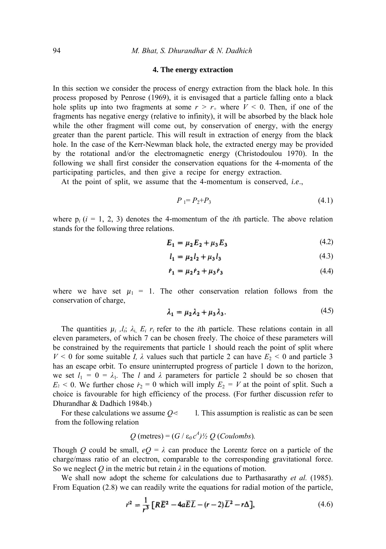#### **4. The energy extraction**

In this section we consider the process of energy extraction from the black hole. In this process proposed by Penrose (1969), it is envisaged that a particle falling onto a black hole splits up into two fragments at some  $r > r_+$  where  $V \le 0$ . Then, if one of the fragments has negative energy (relative to infinity), it will be absorbed by the black hole while the other fragment will come out, by conservation of energy, with the energy greater than the parent particle. This will result in extraction of energy from the black hole. In the case of the Kerr-Newman black hole, the extracted energy may be provided by the rotational and/or the electromagnetic energy (Christodoulou 1970). In the following we shall first consider the conservation equations for the 4-momenta of the participating particles, and then give a recipe for energy extraction.

At the point of split, we assume that the 4-momentum is conserved, *i.e*.,

$$
P_1 = P_2 + P_3 \tag{4.1}
$$

where  $p_i$  ( $i = 1, 2, 3$ ) denotes the 4-momentum of the *i*th particle. The above relation stands for the following three relations.

$$
E_1 = \mu_2 E_2 + \mu_3 E_3 \tag{4.2}
$$

$$
l_1 = \mu_2 l_2 + \mu_3 l_3 \tag{4.3}
$$

$$
\dot{r}_1 = \mu_2 \dot{r}_2 + \mu_3 \dot{r}_3 \tag{4.4}
$$

where we have set  $\mu_1 = 1$ . The other conservation relation follows from the conservation of charge,

$$
\lambda_1 = \mu_2 \lambda_2 + \mu_3 \lambda_3. \tag{4.5}
$$

The quantities  $\mu_i$ ,  $l_i$ ;  $\lambda_i$ ,  $E_i$ ,  $r_i$  refer to the *i*th particle. These relations contain in all eleven parameters, of which 7 can be chosen freely. The choice of these parameters will be constrained by the requirements that particle 1 should reach the point of split where *V <* 0 for some suitable *Ι, λ* values such that particle 2 can have *E*2 *<* 0 and particle 3 has an escape orbit. To ensure uninterrupted progress of particle 1 down to the horizon, we set  $l_1 = 0 = \lambda_1$ . The *l* and  $\lambda$  parameters for particle 2 should be so chosen that  $E_2$  < 0. We further chose  $\dot{r}_2 = 0$  which will imply  $E_2 = V$  at the point of split. Such a choice is favourable for high efficiency of the process. (For further discussion refer to Dhurandhar & Dadhich 1984b.)

For these calculations we assume  $Q \ll 1$ . This assumption is realistic as can be seen from the following relation

$$
Q
$$
 (metres) =  $(G / \varepsilon_0 c^4)/2 Q$  (Coulombs).

Though *Q* could be small,  $eQ = \lambda$  can produce the Lorentz force on a particle of the charge/mass ratio of an electron, comparable to the corresponding gravitational force. So we neglect  $Q$  in the metric but retain  $\lambda$  in the equations of motion.

We shall now adopt the scheme for calculations due to Parthasarathy *et al.* (1985). From Equation (2.8) we can readily write the equations for radial motion of the particle,

$$
r^{2} = \frac{1}{r^{3}} \left[ R\overline{E}^{2} - 4a\overline{E}\overline{L} - (r-2)\overline{L}^{2} - r\Delta \right],
$$
 (4.6)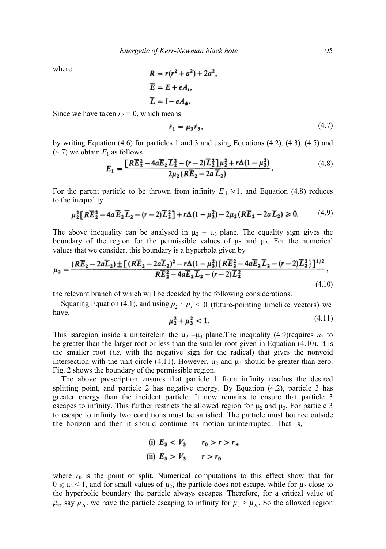where

$$
R = r(r2 + a2) + 2a2,
$$
  
\n
$$
\overline{E} = E + eA_t,
$$
  
\n
$$
\overline{L} = l - eA_{\phi}.
$$

Since we have taken  $\dot{r}_2 = 0$ , which means

$$
\dot{r}_1 = \mu_3 \dot{r}_3,\tag{4.7}
$$

by writing Equation (4.6) for particles 1 and 3 and using Equations (4.2), (4.3), (4.5) and  $(4.7)$  we obtain  $E<sub>1</sub>$  as follows

$$
E_1 = \frac{[R\overline{E}_2^2 - 4a\overline{E}_2\overline{L}_2^2 - (r-2)\overline{L}_2^2]\mu_2^2 + r\Delta(1-\mu_3^2)}{2\mu_2(R\overline{E}_2 - 2a\overline{L}_2)}.
$$
(4.8)

For the parent particle to be thrown from infinity  $E_1 \geq 1$ , and Equation (4.8) reduces to the inequality

$$
\mu_2^2 [R\overline{E}_2^2 - 4a \overline{E}_2 \overline{L}_2 - (r-2) \overline{L}_2^2] + r\Delta (1 - \mu_3^2) - 2\mu_2 (R\overline{E}_2 - 2a \overline{L}_2) \ge 0. \tag{4.9}
$$

The above inequality can be analysed in  $\mu_2 - \mu_3$  plane. The equality sign gives the boundary of the region for the permissible values of  $\mu_2$  and  $\mu_3$ . For the numerical values that we consider, this boundary is a hyperbola given by

$$
\mu_2 = \frac{(R\overline{E}_2 - 2a\overline{L}_2) \pm \left[ (R\overline{E}_2 - 2a\overline{L}_2)^2 - r\Delta(1 - \mu_3^2) \{ R\overline{E}_2^2 - 4a\overline{E}_2 \overline{L}_2 - (r - 2)\overline{L}_2^2 \} \right]^{1/2}}{R\overline{E}_2^2 - 4a\overline{E}_2 \overline{L}_2 - (r - 2)\overline{L}_2^2},
$$
\n(4.10)

the relevant branch of which will be decided by the following considerations.

Squaring Equation (4.1), and using  $p_2 \cdot p_3 < 0$  (future-pointing timelike vectors) we have,

$$
\mu_2^2 + \mu_3^2 < 1. \tag{4.11}
$$

This isaregion inside a unitcirclein the  $\mu_2$  – $\mu_3$  plane. The inequality (4.9) requires  $\mu_2$  to be greater than the larger root or less than the smaller root given in Equation (4.10). It is the smaller root (*i.e*. with the negative sign for the radical) that gives the nonvoid intersection with the unit circle (4.11). However,  $\mu_2$  and  $\mu_3$  should be greater than zero. Fig. 2 shows the boundary of the permissible region.

The above prescription ensures that particle 1 from infinity reaches the desired splitting point, and particle 2 has negative energy. By Equation (4.2), particle 3 has greater energy than the incident particle. It now remains to ensure that particle 3 escapes to infinity. This further restricts the allowed region for  $\mu_2$  and  $\mu_3$ . For particle 3 to escape to infinity two conditions must be satisfied. The particle must bounce outside the horizon and then it should continue its motion uninterrupted. That is,

(i) 
$$
E_3 < V_3
$$
  $r_0 > r > r_+$   
\n(ii)  $E_3 > V_3$   $r > r_0$ 

where  $r_0$  is the point of split. Numerical computations to this effect show that for  $0 \le \mu_3 < 1$ , and for small values of  $\mu_2$ , the particle does not escape, while for  $\mu_2$  close to the hyperbolic boundary the particle always escapes. Therefore, for a critical value of  $\mu_2$ , say  $\mu_{2c}$  we have the particle escaping to infinity for  $\mu_2 > \mu_{2c}$ . So the allowed region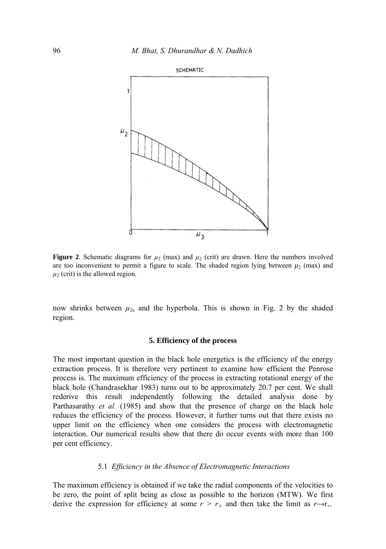

**Figure 2.** Schematic diagrams for  $\mu_2$  (max) and  $\mu_2$  (crit) are drawn. Here the numbers involved are too inconvenient to permit a figure to scale. The shaded region lying between  $\mu_2$  (max) and  $\mu_2$  (crit) is the allowed region.

now shrinks between  $\mu_{2c}$  and the hyperbola. This is shown in Fig. 2 by the shaded region.

### **5. Efficiency of the process**

The most important question in the black hole energetics is the efficiency of the energy extraction process. It is therefore very pertinent to examine how efficient the Penrose process is. The maximum efficiency of the process in extracting rotational energy of the black hole (Chandrasekhar 1983) turns out to be approximately 20.7 per cent. We shall rederive this result independently following the detailed analysis done by Parthasarathy *et al.* (1985) and show that the presence of charge on the black hole reduces the efficiency of the process. However, it further turns out that there exists no upper limit on the efficiency when one considers the process with electromagnetic interaction. Our numerical results show that there do occur events with more than 100 per cent efficiency.

### 5.1 *Efficiency in the Absence of Electromagnetic Interactions*

The maximum efficiency is obtained if we take the radial components of the velocities to be zero, the point of split being as close as possible to the horizon (MTW). We first derive the expression for efficiency at some  $r > r_+$  and then take the limit as  $r \rightarrow r_+$ .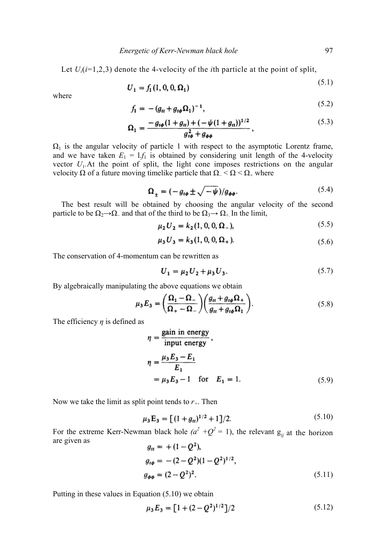Let  $U_i(i=1,2,3)$  denote the 4-velocity of the *i*th particle at the point of split,

$$
U_1 = f_1(1, 0, 0, \Omega_1) \tag{5.1}
$$

where

$$
f_1 = -(g_{tt} + g_{t\phi} \Omega_1)^{-1}, \tag{5.2}
$$

$$
\Omega_1 = \frac{-g_{i\phi}(1+g_{u}) + (-\psi(1+g_{u}))^{1/2}}{g_{i\phi}^2 + g_{\phi\phi}},
$$
\n(5.3)

 $\Omega_1$  is the angular velocity of particle 1 with respect to the asymptotic Lorentz frame, and we have taken  $E_1 = 1$ , $f_1$  is obtained by considering unit length of the 4-velocity vector  $U_1$ . At the point of split, the light cone imposes restrictions on the angular velocity Ω of a future moving timelike particle that  $\Omega$  <  $\Omega$  <  $\Omega$  + where

$$
\Omega_{\pm} = (-g_{t\phi} \pm \sqrt{-\psi})/g_{\phi\phi}.
$$
\n(5.4)

The best result will be obtained by choosing the angular velocity of the second particle to be  $\Omega_2 \rightarrow \Omega_-$  and that of the third to be  $\Omega_3 \rightarrow \Omega_+$ . In the limit,

$$
\mu_2 U_2 = k_2 (1, 0, 0, \Omega_-), \tag{5.5}
$$

$$
\mu_3 U_3 = k_3 (1, 0, 0, \Omega_+). \tag{5.6}
$$

The conservation of 4-momentum can be rewritten as

$$
U_1 = \mu_2 U_2 + \mu_3 U_3. \tag{5.7}
$$

By algebraically manipulating the above equations we obtain

$$
\mu_3 E_3 = \left(\frac{\Omega_1 - \Omega_-}{\Omega_+ - \Omega_-}\right) \left(\frac{g_{tt} + g_{t\phi}\Omega_+}{g_{tt} + g_{t\phi}\Omega_1}\right). \tag{5.8}
$$

The efficiency *η* is defined as

$$
\eta = \frac{\text{gain in energy}}{\text{input energy}},
$$
  
\n
$$
\eta = \frac{\mu_3 E_3 - E_1}{E_1}
$$
  
\n
$$
= \mu_3 E_3 - 1 \quad \text{for} \quad E_1 = 1.
$$
 (5.9)

Now we take the limit as split point tends to *r+*. Then

$$
\mu_3 \mathbf{E}_3 = \left[ (1 + g_n)^{1/2} + 1 \right] / 2. \tag{5.10}
$$

For the extreme Kerr-Newman black hole  $(a^2 + Q^2 = 1)$ , the relevant  $g_{ij}$  at the horizon are given as  $(1 - \Omega)^2$ 

$$
g_{tt} = +(1 - Q^2),
$$
  
\n
$$
g_{t\phi} = -(2 - Q^2)(1 - Q^2)^{1/2},
$$
  
\n
$$
g_{\phi\phi} = (2 - Q^2)^2.
$$
\n(5.11)

Putting in these values in Equation (5.10) we obtain

$$
\mu_3 E_3 = [1 + (2 - Q^2)^{1/2}]/2 \tag{5.12}
$$

 $(5.2)$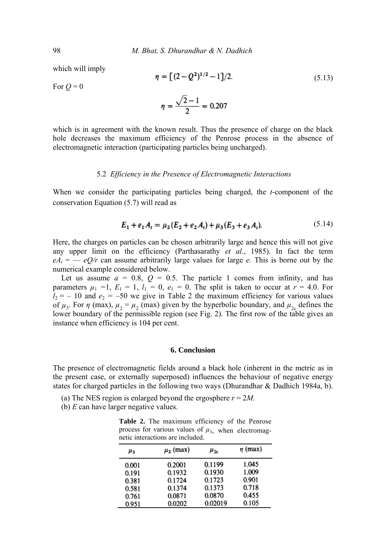which will imply

$$
\eta = \left[ (2 - Q^2)^{1/2} - 1 \right] / 2. \tag{5.13}
$$
\n
$$
\eta = \frac{\sqrt{2} - 1}{2} = 0.207
$$

For  $Q = 0$ 

which is in agreement with the known result. Thus the presence of charge on the black hole decreases the maximum efficiency of the Penrose process in the absence of electromagnetic interaction (participating particles being uncharged).

### 5.2 *Efficiency in the Presence of Electromagnetic Interactions*

When we consider the participating particles being charged, the *t*-component of the conservation Equation (5.7) will read as

$$
E_1 + e_1 A_t = \mu_2 (E_2 + e_2 A_t) + \mu_3 (E_3 + e_3 A_t).
$$
 (5.14)

Here, the charges on particles can be chosen arbitrarily large and hence this will not give any upper limit on the efficiency (Parthasarathy *et al*., 1985). In fact the term  $eA_t = -eQ/r$  can assume arbitrarily large values for large *e*. This is borne out by the numerical example considered below.

Let us assume  $a = 0.8$ ,  $Q = 0.5$ . The particle 1 comes from infinity, and has parameters  $\mu_1 = 1$ ,  $E_1 = 1$ ,  $l_1 = 0$ ,  $e_1 = 0$ . The split is taken to occur at  $r = 4.0$ . For  $l_2$  = – 10 and  $e_2$  = –50 we give in Table 2 the maximum efficiency for various values of  $\mu_3$ . For  $\eta$  (max),  $\mu_2 = \mu_2$  (max) given by the hyperbolic boundary, and  $\mu_{2c}$  defines the lower boundary of the permissible region (see Fig. 2). The first row of the table gives an instance when efficiency is 104 per cent.

### **6. Conclusion**

The presence of electromagnetic fields around a black hole (inherent in the metric as in the present case, or externally superposed) influences the behaviour of negative energy states for charged particles in the following two ways (Dhurandhar & Dadhich 1984a, b).

- (a) The NES region is enlarged beyond the ergosphere *r* = 2*M.*
- (b) *Ε* can have larger negative values.

**Table 2.** The maximum efficiency of the Penrose process for various values of  $\mu_3$ , when electromagnetic interactions are included.

| $\mu_3$ | $\mu_2$ (max) | $\mu_{2c}$ | $\eta$ (max) |
|---------|---------------|------------|--------------|
| 0.001   | 0.2001        | 0.1199     | 1.045        |
| 0.191   | 0.1932        | 0.1930     | 1.009        |
| 0.381   | 0.1724        | 0.1723     | 0.901        |
| 0.581   | 0.1374        | 0.1373     | 0.718        |
| 0.761   | 0.0871        | 0.0870     | 0.455        |
| 0.951   | 0.0202        | 0.02019    | 0.105        |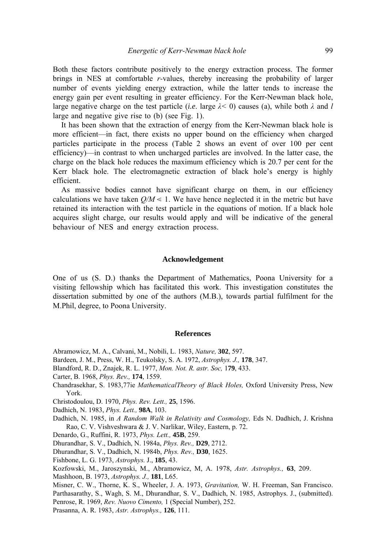Both these factors contribute positively to the energy extraction process. The former brings in NES at comfortable *r-*values, thereby increasing the probability of larger number of events yielding energy extraction, while the latter tends to increase the energy gain per event resulting in greater efficiency. For the Kerr-Newman black hole, large negative charge on the test particle (*i.e.* large  $\lambda < 0$ ) causes (a), while both  $\lambda$  and *l* large and negative give rise to (b) (see Fig. 1).

It has been shown that the extraction of energy from the Kerr-Newman black hole is more efficient—in fact, there exists no upper bound on the efficiency when charged particles participate in the process (Table 2 shows an event of over 100 per cent efficiency)—in contrast to when uncharged particles are involved. In the latter case, the charge on the black hole reduces the maximum efficiency which is 20.7 per cent for the Kerr black hole. The electromagnetic extraction of black hole's energy is highly efficient.

As massive bodies cannot have significant charge on them, in our efficiency calculations we have taken  $Q/M \leq 1$ . We have hence neglected it in the metric but have retained its interaction with the test particle in the equations of motion. If a black hole acquires slight charge, our results would apply and will be indicative of the general behaviour of NES and energy extraction process.

### **Acknowledgement**

One of us (S. D.) thanks the Department of Mathematics, Poona University for a visiting fellowship which has facilitated this work. This investigation constitutes the dissertation submitted by one of the authors (M.B.), towards partial fulfilment for the M.Phil, degree, to Poona University.

#### **References**

- Abramowicz, Μ. Α., Calvani, M., Nobili, L. 1983, *Nature,* **302**, 597.
- Bardeen, J. Μ., Press, W. H., Teukolsky, S. A. 1972, *Astrophys. J.,* **178**, 347.
- Blandford, R. D., Znajek, R. L. 1977, *Mon. Not. R. astr. Soc,* 1**79**, 433.
- Carter, B. 1968, *Phys. Rev.,* **174**, 1559.
- Chandrasekhar, S. 1983,77ie *MathematicalTheory of Black Holes,* Oxford University Press, New York.
- Christodoulou, D. 1970, *Phys. Rev. Lett.,* **25**, 1596.
- Dadhich, N. 1983, *Phys. Lett.,* **98A**, 103.
- Dadhich, N. 1985, in *A Random Walk in Relativity and Cosmology,* Eds N. Dadhich, J. Krishna Rao, C. V. Vishveshwara & J. V. Narlikar, Wiley, Eastern, p. 72.
- Denardo, G., Ruffini, R. 1973, *Phys. Lett.,* **45B**, 259.
- Dhurandhar, S. V., Dadhich, N. 1984a, *Phys. Rev.,* **D29**, 2712.
- Dhurandhar, S. V., Dadhich, N. 1984b, *Phys. Rev.,* **D30**, 1625.
- Fishbone, L. G. 1973, *Astrophys.* J., **185**, 43.
- Kozfowski, M., Jaroszynski, M., Abramowicz, M, A. 1978, *Astr. Astrophys.,* **63**, 209.
- Mashhoon, B. 1973, *Astrophys. J.,* **181**, L65.
- Misner, C. W., Thorne, K. S., Wheeler, J. A. 1973, *Gravitation,* W. H. Freeman, San Francisco.
- Parthasarathy, S., Wagh, S. M., Dhurandhar, S. V., Dadhich, N. 1985, Astrophys. J., (submitted).
- Penrose, R. 1969, *Rev. Nuovo Cimento,* 1 (Special Number), 252.
- Prasanna, A. R. 1983, *Astr. Astrophys.,* **126**, 111.